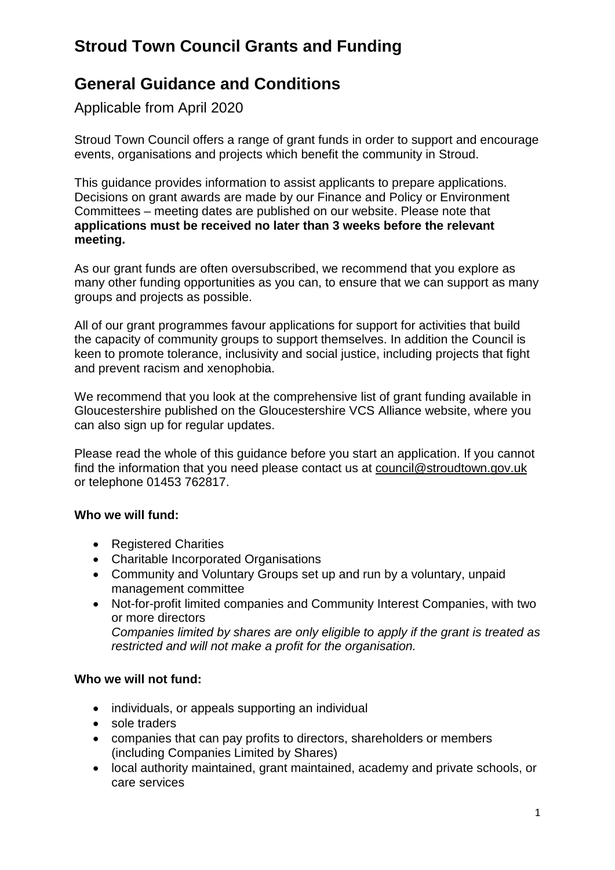# **Stroud Town Council Grants and Funding**

## **General Guidance and Conditions**

Applicable from April 2020

Stroud Town Council offers a range of grant funds in order to support and encourage events, organisations and projects which benefit the community in Stroud.

This guidance provides information to assist applicants to prepare applications. Decisions on grant awards are made by our Finance and Policy or Environment Committees – meeting dates are published on our website. Please note that **applications must be received no later than 3 weeks before the relevant meeting.**

As our grant funds are often oversubscribed, we recommend that you explore as many other funding opportunities as you can, to ensure that we can support as many groups and projects as possible.

All of our grant programmes favour applications for support for activities that build the capacity of community groups to support themselves. In addition the Council is keen to promote tolerance, inclusivity and social justice, including projects that fight and prevent racism and xenophobia.

We recommend that you look at the comprehensive list of grant funding available in Gloucestershire published on the [Gloucestershire VCS Alliance](http://www.glosvcsalliance.org.uk/external-funding-opportunities-bulletin/) website, where you can also sign up for regular updates.

Please read the whole of this guidance before you start an application. If you cannot find the information that you need please contact us at [council@stroudtown.gov.uk](mailto:council@stroudtown.gov.uk) or telephone 01453 762817.

#### **Who we will fund:**

- Registered Charities
- Charitable Incorporated Organisations
- Community and Voluntary Groups set up and run by a voluntary, unpaid management committee
- Not-for-profit limited companies and Community Interest Companies, with two or more directors *Companies limited by shares are only eligible to apply if the grant is treated as restricted and will not make a profit for the organisation.*

#### **Who we will not fund:**

- individuals, or appeals supporting an individual
- sole traders
- companies that can pay profits to directors, shareholders or members (including Companies Limited by Shares)
- local authority maintained, grant maintained, academy and private schools, or care services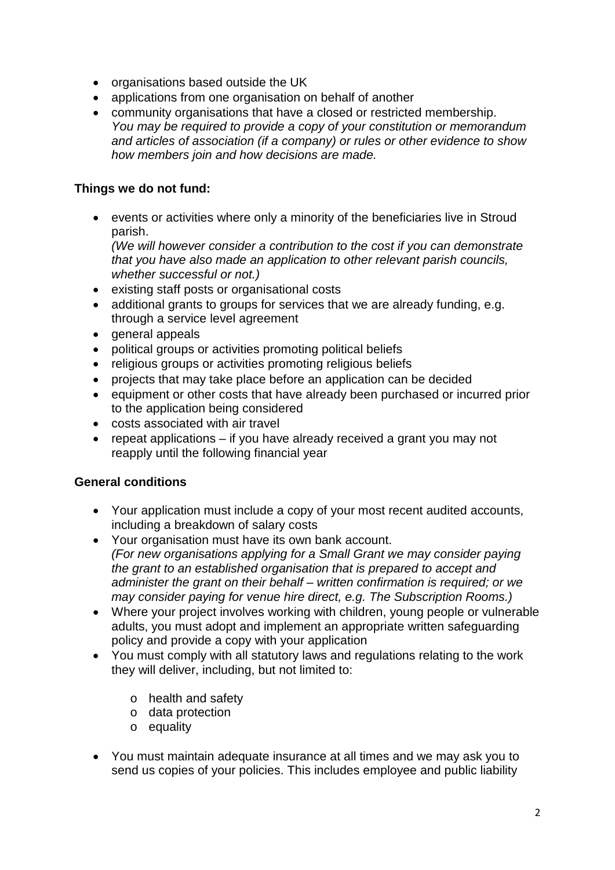- organisations based outside the UK
- applications from one organisation on behalf of another
- community organisations that have a closed or restricted membership. *You may be required to provide a copy of your constitution or memorandum and articles of association (if a company) or rules or other evidence to show how members join and how decisions are made.*

### **Things we do not fund:**

• events or activities where only a minority of the beneficiaries live in Stroud parish.

*(We will however consider a contribution to the cost if you can demonstrate that you have also made an application to other relevant parish councils, whether successful or not.)*

- existing staff posts or organisational costs
- additional grants to groups for services that we are already funding, e.g. through a service level agreement
- general appeals
- political groups or activities promoting political beliefs
- religious groups or activities promoting religious beliefs
- projects that may take place before an application can be decided
- equipment or other costs that have already been purchased or incurred prior to the application being considered
- costs associated with air travel
- repeat applications if you have already received a grant you may not reapply until the following financial year

#### **General conditions**

- Your application must include a copy of your most recent audited accounts, including a breakdown of salary costs
- Your organisation must have its own bank account. *(For new organisations applying for a Small Grant we may consider paying the grant to an established organisation that is prepared to accept and administer the grant on their behalf – written confirmation is required; or we may consider paying for venue hire direct, e.g. The Subscription Rooms.)*
- Where your project involves working with children, young people or vulnerable adults, you must adopt and implement an appropriate written safeguarding policy and provide a copy with your application
- You must comply with all statutory laws and regulations relating to the work they will deliver, including, but not limited to:
	- o health and safety
	- o data protection
	- o equality
- You must maintain adequate insurance at all times and we may ask you to send us copies of your policies. This includes employee and public liability